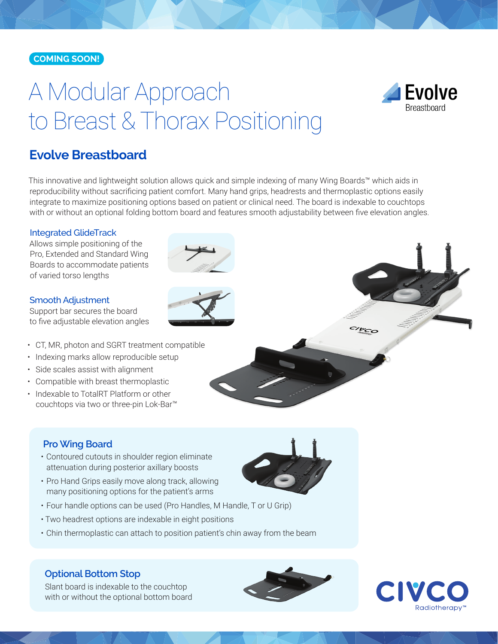#### **COMING SOON!**

# A Modular Approach to Breast & Thorax Positioning



# **Evolve Breastboard**

This innovative and lightweight solution allows quick and simple indexing of many Wing Boards™ which aids in reproducibility without sacrificing patient comfort. Many hand grips, headrests and thermoplastic options easily integrate to maximize positioning options based on patient or clinical need. The board is indexable to couchtops with or without an optional folding bottom board and features smooth adjustability between five elevation angles.

#### Integrated GlideTrack

Allows simple positioning of the Pro, Extended and Standard Wing Boards to accommodate patients of varied torso lengths

#### Smooth Adjustment

Support bar secures the board to five adjustable elevation angles

- CT, MR, photon and SGRT treatment compatible
- Indexing marks allow reproducible setup
- Side scales assist with alignment
- Compatible with breast thermoplastic
- Indexable to TotalRT Platform or other couchtops via two or three-pin Lok-Bar™

#### **Pro Wing Board**

- Contoured cutouts in shoulder region eliminate attenuation during posterior axillary boosts
- Pro Hand Grips easily move along track, allowing many positioning options for the patient's arms
- Four handle options can be used (Pro Handles, M Handle, T or U Grip)
- Two headrest options are indexable in eight positions
- Chin thermoplastic can attach to position patient's chin away from the beam

#### **Optional Bottom Stop**

Slant board is indexable to the couchtop with or without the optional bottom board